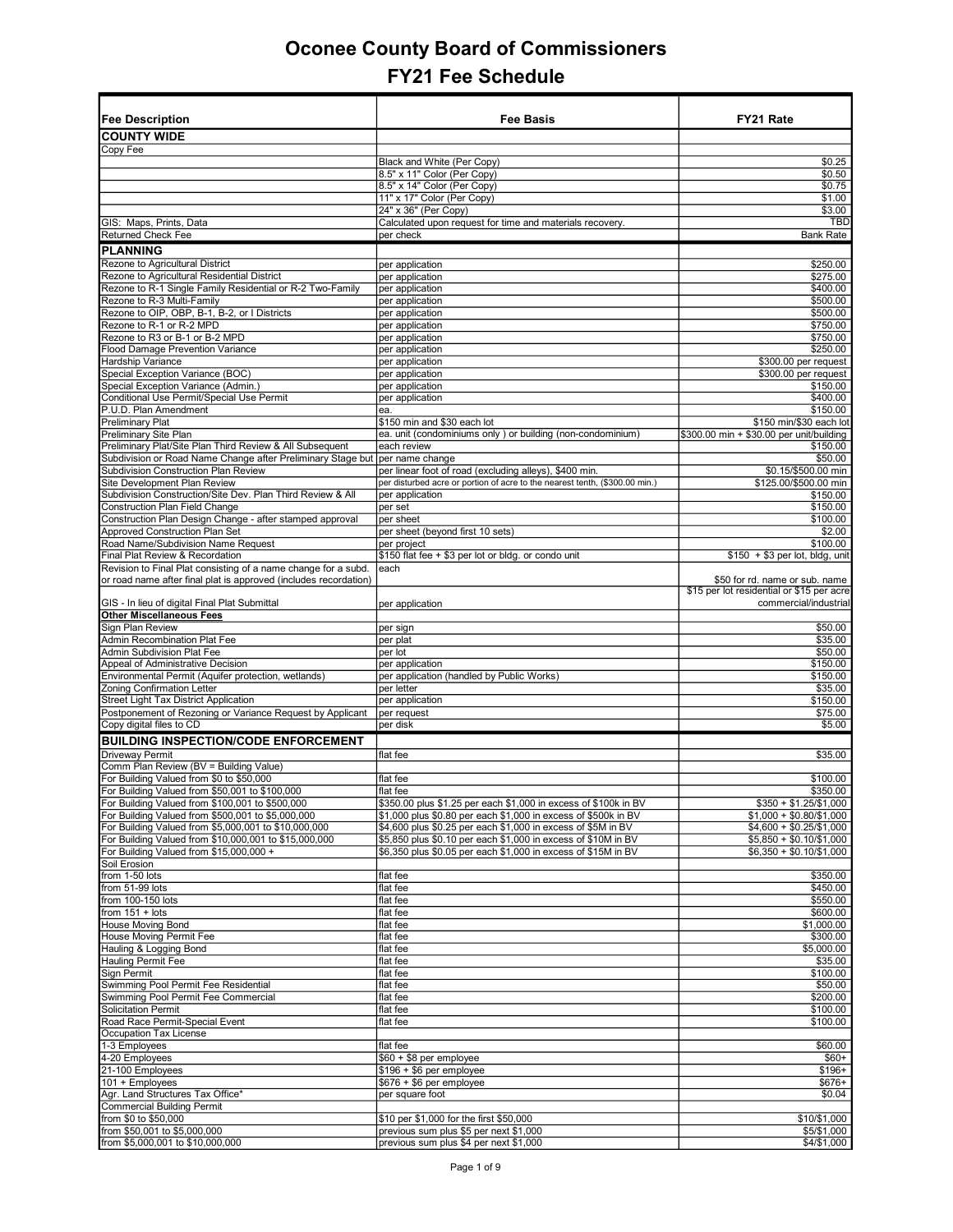| Fee Description                                                               | <b>Fee Basis</b>                                                                  | FY21 Rate                                 |
|-------------------------------------------------------------------------------|-----------------------------------------------------------------------------------|-------------------------------------------|
| <b>COUNTY WIDE</b>                                                            |                                                                                   |                                           |
|                                                                               |                                                                                   |                                           |
| Copy Fee                                                                      |                                                                                   |                                           |
|                                                                               | Black and White (Per Copy)                                                        | \$0.25<br>\$0.50                          |
|                                                                               | 8.5" x 11" Color (Per Copy)                                                       |                                           |
|                                                                               | 8.5" x 14" Color (Per Copy)                                                       | \$0.75                                    |
|                                                                               | 11" x 17" Color (Per Copy)<br>24" x 36" (Per Copy)                                | \$1.00                                    |
|                                                                               |                                                                                   | \$3.00<br><b>TBD</b>                      |
| GIS: Maps, Prints, Data<br><b>Returned Check Fee</b>                          | Calculated upon request for time and materials recovery<br>per check              | <b>Bank Rate</b>                          |
|                                                                               |                                                                                   |                                           |
| <b>PLANNING</b>                                                               |                                                                                   |                                           |
| Rezone to Agricultural District                                               | per application                                                                   | \$250.00                                  |
| Rezone to Agricultural Residential District                                   | per application                                                                   | \$275.00                                  |
| Rezone to R-1 Single Family Residential or R-2 Two-Family                     | per application                                                                   | \$400.00                                  |
| Rezone to R-3 Multi-Family                                                    | per application                                                                   | \$500.00                                  |
| Rezone to OIP, OBP, B-1, B-2, or I Districts                                  | per application                                                                   | \$500.00                                  |
| Rezone to R-1 or R-2 MPD                                                      | per application                                                                   | \$750.00                                  |
| Rezone to R3 or B-1 or B-2 MPD                                                | per application                                                                   | \$750.00                                  |
| Flood Damage Prevention Variance                                              | per application                                                                   | \$250.00                                  |
| Hardship Variance                                                             | per application                                                                   | \$300.00 per request                      |
| Special Exception Variance (BOC)                                              | per application                                                                   | \$300.00 per request                      |
| Special Exception Variance (Admin.)                                           | per application                                                                   | \$150.00                                  |
| Conditional Use Permit/Special Use Permit                                     | per application                                                                   | \$400.00                                  |
| P.U.D. Plan Amendment                                                         | ea.                                                                               | \$150.00                                  |
| <b>Preliminary Plat</b>                                                       | \$150 min and \$30 each lot                                                       | \$150 min/\$30 each lot                   |
| <b>Preliminary Site Plan</b>                                                  | ea. unit (condominiums only) or building (non-condominium)                        | \$300.00 min + \$30.00 per unit/building  |
| Preliminary Plat/Site Plan Third Review & All Subsequent                      | each review                                                                       | \$150.00                                  |
| Subdivision or Road Name Change after Preliminary Stage but   per name change |                                                                                   | \$50.00                                   |
| Subdivision Construction Plan Review                                          | per linear foot of road (excluding alleys), \$400 min.                            | \$0.15/\$500.00 min                       |
| Site Development Plan Review                                                  | per disturbed acre or portion of acre to the nearest tenth, (\$300.00 min.)       | \$125.00/\$500.00 min                     |
| Subdivision Construction/Site Dev. Plan Third Review & All                    | per application                                                                   | \$150.00                                  |
| <b>Construction Plan Field Change</b>                                         | per set                                                                           | \$150.00                                  |
| Construction Plan Design Change - after stamped approval                      | per sheet                                                                         | \$100.00                                  |
| <b>Approved Construction Plan Set</b>                                         | per sheet (beyond first 10 sets)                                                  | \$2.00                                    |
| Road Name/Subdivision Name Request                                            | per project                                                                       | \$100.00                                  |
| Final Plat Review & Recordation                                               | \$150 flat fee + \$3 per lot or bldg. or condo unit                               | $$150 + $3$ per lot, bldg, unit           |
| Revision to Final Plat consisting of a name change for a subd.                | each                                                                              |                                           |
| or road name after final plat is approved (includes recordation)              |                                                                                   | \$50 for rd. name or sub. name            |
|                                                                               |                                                                                   | \$15 per lot residential or \$15 per acre |
| GIS - In lieu of digital Final Plat Submittal                                 | per application                                                                   | commercial/industrial                     |
| <b>Other Miscellaneous Fees</b>                                               |                                                                                   |                                           |
| Sign Plan Review                                                              | per sign                                                                          | \$50.00                                   |
| Admin Recombination Plat Fee                                                  | per plat                                                                          | \$35.00                                   |
| Admin Subdivision Plat Fee                                                    | per lot                                                                           | \$50.00                                   |
| Appeal of Administrative Decision                                             | per application                                                                   | \$150.00                                  |
| Environmental Permit (Aquifer protection, wetlands)                           | per application (handled by Public Works)                                         | \$150.00                                  |
| Zoning Confirmation Letter<br><b>Street Light Tax District Application</b>    | per letter                                                                        | \$35.00                                   |
| Postponement of Rezoning or Variance Request by Applicant                     | per application                                                                   | \$150.00                                  |
|                                                                               | per request                                                                       | \$75.00                                   |
| Copy digital files to CD                                                      | per disk                                                                          | \$5.00                                    |
| <b>BUILDING INSPECTION/CODE ENFORCEMENT</b>                                   |                                                                                   |                                           |
| Driveway Permit                                                               | flat fee                                                                          | \$35.00                                   |
| Comm Plan Review (BV = Building Value)                                        |                                                                                   |                                           |
| For Building Valued from \$0 to \$50,000                                      | flat fee                                                                          | \$100.00                                  |
| For Building Valued from \$50,001 to \$100,000                                | flat fee                                                                          | \$350.00                                  |
| For Building Valued from \$100,001 to \$500,000                               | \$350.00 plus \$1.25 per each \$1,000 in excess of \$100k in BV                   | $$350 + $1.25/\$1,000$                    |
| For Building Valued from \$500,001 to \$5,000,000                             | \$1,000 plus \$0.80 per each \$1,000 in excess of \$500k in BV                    | $$1,000 + $0.80/\$1,000$                  |
| For Building Valued from \$5,000,001 to \$10,000,000                          | \$4,600 plus \$0.25 per each \$1,000 in excess of \$5M in BV                      | $$4,600 + $0.25/\$1,000$                  |
| For Building Valued from \$10,000,001 to \$15,000,000                         | \$5,850 plus \$0.10 per each \$1,000 in excess of \$10M in BV                     | $$5,850 + $0.10/\$1,000$                  |
| For Building Valued from \$15,000,000 +                                       | \$6.350 plus \$0.05 per each \$1.000 in excess of \$15M in BV                     | $$6,350 + $0.10/\$1,000$                  |
| Soil Erosion                                                                  |                                                                                   |                                           |
| from 1-50 lots                                                                | flat fee                                                                          | \$350.00                                  |
| from 51-99 lots                                                               | flat fee                                                                          | \$450.00                                  |
| from 100-150 lots                                                             | flat fee                                                                          | \$550.00                                  |
| from $151 + \text{ lots}$                                                     | flat fee                                                                          | \$600.00                                  |
| <b>House Moving Bond</b>                                                      | flat fee                                                                          | \$1,000.00                                |
| House Moving Permit Fee                                                       | flat fee                                                                          | \$300.00                                  |
| Hauling & Logging Bond                                                        | flat fee                                                                          | \$5,000.00                                |
| <b>Hauling Permit Fee</b>                                                     | flat fee                                                                          | \$35.00                                   |
| Sign Permit                                                                   | flat fee                                                                          | \$100.00                                  |
| Swimming Pool Permit Fee Residential                                          | flat fee                                                                          | \$50.00                                   |
| Swimming Pool Permit Fee Commercial                                           | flat fee                                                                          | \$200.00                                  |
| <b>Solicitation Permit</b>                                                    | flat fee                                                                          | \$100.00                                  |
| Road Race Permit-Special Event                                                | flat fee                                                                          | \$100.00                                  |
| Occupation Tax License                                                        |                                                                                   |                                           |
| 1-3 Employees                                                                 | flat fee                                                                          | \$60.00                                   |
| 4-20 Employees                                                                | $$60 + $8$ per employee                                                           | $$60+$                                    |
| 21-100 Employees                                                              | $$196 + $6$ per employee                                                          | $$196+$                                   |
| 101 + Employees                                                               | $$676 + $6$ per employee                                                          | $$676+$<br>\$0.04                         |
| Agr. Land Structures Tax Office*<br><b>Commercial Building Permit</b>         | per square foot                                                                   |                                           |
| from \$0 to \$50,000                                                          |                                                                                   |                                           |
| from \$50,001 to \$5,000,000                                                  | \$10 per \$1,000 for the first \$50,000<br>previous sum plus \$5 per next \$1,000 | \$10/\$1,000<br>\$5/\$1,000               |
| from \$5,000,001 to \$10,000,000                                              | previous sum plus \$4 per next \$1,000                                            | \$4/\$1,000                               |
|                                                                               |                                                                                   |                                           |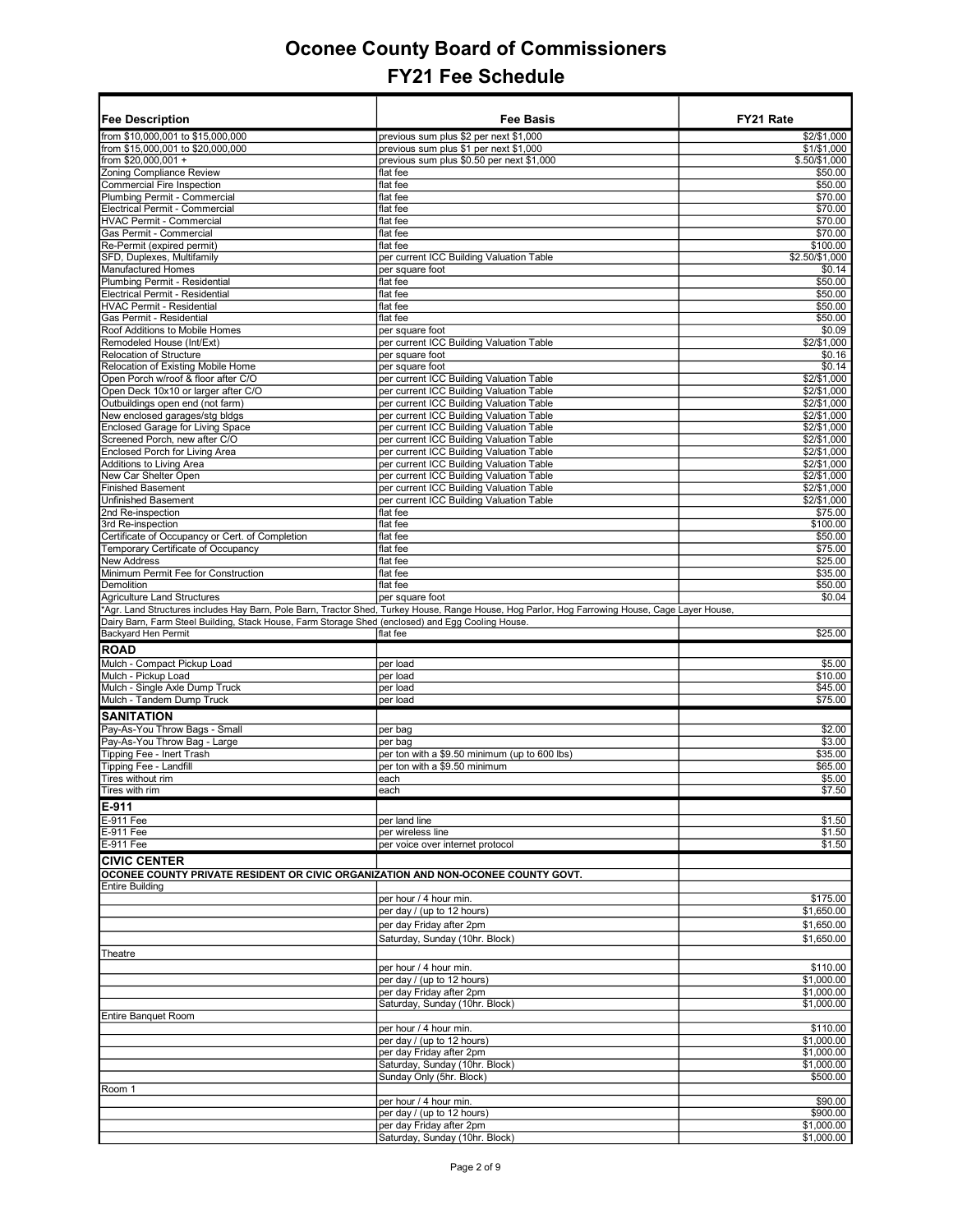|                                                                                                         | Fee Basis                                                                                                                                      | FY21 Rate                    |
|---------------------------------------------------------------------------------------------------------|------------------------------------------------------------------------------------------------------------------------------------------------|------------------------------|
| <b>Fee Description</b>                                                                                  |                                                                                                                                                |                              |
| from \$10,000,001 to \$15,000,000<br>from \$15,000,001 to \$20,000,000                                  | previous sum plus \$2 per next \$1,000                                                                                                         | \$2/\$1,000                  |
| from \$20,000,001 +                                                                                     | previous sum plus \$1 per next \$1,000<br>previous sum plus \$0.50 per next \$1,000                                                            | \$1/\$1,000<br>\$.50/\$1,000 |
| Zoning Compliance Review                                                                                | flat fee                                                                                                                                       | \$50.00                      |
| Commercial Fire Inspection                                                                              | flat fee                                                                                                                                       | \$50.00                      |
| Plumbing Permit - Commercial                                                                            | flat fee                                                                                                                                       | \$70.00                      |
| Electrical Permit - Commercial                                                                          | flat fee                                                                                                                                       | \$70.00                      |
| HVAC Permit - Commercial                                                                                | flat fee                                                                                                                                       | \$70.00                      |
| Gas Permit - Commercial                                                                                 | flat fee                                                                                                                                       | \$70.00                      |
| Re-Permit (expired permit)                                                                              | flat fee                                                                                                                                       | \$100.00                     |
| SFD, Duplexes, Multifamily<br><b>Manufactured Homes</b>                                                 | per current ICC Building Valuation Table<br>per square foot                                                                                    | \$2.50/\$1,000<br>\$0.14     |
| Plumbing Permit - Residential                                                                           | flat fee                                                                                                                                       | \$50.00                      |
| Electrical Permit - Residential                                                                         | flat fee                                                                                                                                       | \$50.00                      |
| <b>HVAC Permit - Residential</b>                                                                        | flat fee                                                                                                                                       | \$50.00                      |
| Gas Permit - Residential                                                                                | flat fee                                                                                                                                       | \$50.00                      |
| Roof Additions to Mobile Homes                                                                          | per square foot                                                                                                                                | \$0.09                       |
| Remodeled House (Int/Ext)                                                                               | per current ICC Building Valuation Table                                                                                                       | \$2/\$1,000                  |
| Relocation of Structure                                                                                 | per square foot                                                                                                                                | \$0.16                       |
| Relocation of Existing Mobile Home<br>Open Porch w/roof & floor after C/O                               | per square foot<br>per current ICC Building Valuation Table                                                                                    | \$0.14<br>\$2/\$1,000        |
| Open Deck 10x10 or larger after C/O                                                                     | per current ICC Building Valuation Table                                                                                                       | \$2/\$1,000                  |
| Outbuildings open end (not farm)                                                                        | per current ICC Building Valuation Table                                                                                                       | \$2/\$1,000                  |
| New enclosed garages/stg bldgs                                                                          | per current ICC Building Valuation Table                                                                                                       | \$2/\$1,000                  |
| Enclosed Garage for Living Space                                                                        | per current ICC Building Valuation Table                                                                                                       | \$2/\$1,000                  |
| Screened Porch, new after C/O                                                                           | per current ICC Building Valuation Table                                                                                                       | \$2/\$1,000                  |
| Enclosed Porch for Living Area                                                                          | per current ICC Building Valuation Table                                                                                                       | \$2/\$1,000                  |
| Additions to Living Area                                                                                | per current ICC Building Valuation Table                                                                                                       | \$2/\$1.000                  |
| New Car Shelter Open                                                                                    | per current ICC Building Valuation Table                                                                                                       | \$2/\$1,000                  |
| <b>Finished Basement</b>                                                                                | per current ICC Building Valuation Table                                                                                                       | \$2/\$1,000                  |
| Unfinished Basement                                                                                     | per current ICC Building Valuation Table<br>flat fee                                                                                           | \$2/\$1,000                  |
| 2nd Re-inspection<br>3rd Re-inspection                                                                  | flat fee                                                                                                                                       | \$75.00<br>\$100.00          |
| Certificate of Occupancy or Cert. of Completion                                                         | flat fee                                                                                                                                       | \$50.00                      |
| Temporary Certificate of Occupancy                                                                      | flat fee                                                                                                                                       | \$75.00                      |
| New Address                                                                                             | flat fee                                                                                                                                       | \$25.00                      |
| Minimum Permit Fee for Construction                                                                     | flat fee                                                                                                                                       | \$35.00                      |
| Demolition                                                                                              | flat fee                                                                                                                                       | \$50.00                      |
| Agriculture Land Structures                                                                             | per square foot                                                                                                                                | \$0.04                       |
|                                                                                                         | *Agr. Land Structures includes Hay Barn, Pole Barn, Tractor Shed, Turkey House, Range House, Hog Parlor, Hog Farrowing House, Cage Layer House |                              |
| Dairy Barn, Farm Steel Building, Stack House, Farm Storage Shed (enclosed) and Egg Cooling House.       |                                                                                                                                                |                              |
| Backyard Hen Permit                                                                                     | flat fee                                                                                                                                       | \$25.00                      |
| <b>ROAD</b>                                                                                             |                                                                                                                                                |                              |
| Mulch - Compact Pickup Load                                                                             | per load                                                                                                                                       | \$5.00                       |
| Mulch - Pickup Load                                                                                     | per load                                                                                                                                       | \$10.00                      |
| Mulch - Single Axle Dump Truck                                                                          | per load                                                                                                                                       | \$45.00                      |
| Mulch - Tandem Dump Truck                                                                               | per load                                                                                                                                       | \$75.00                      |
| <b>SANITATION</b>                                                                                       |                                                                                                                                                |                              |
| Pay-As-You Throw Bags - Small                                                                           | per bag                                                                                                                                        | \$2.00                       |
| Pay-As-You Throw Bag - Large                                                                            | per bag                                                                                                                                        | \$3.00                       |
| Tipping Fee - Inert Trash<br>Tipping Fee - Landfill                                                     | per ton with a \$9.50 minimum (up to 600 lbs)<br>per ton with a \$9.50 minimum                                                                 | \$35.00<br>\$65.00           |
| Tires without rim                                                                                       | each                                                                                                                                           | \$5.00                       |
| Tires with rim                                                                                          | each                                                                                                                                           | \$7.50                       |
|                                                                                                         |                                                                                                                                                |                              |
| E-911<br><b>E-911 Fee</b>                                                                               |                                                                                                                                                |                              |
| E-911 Fee                                                                                               | per land line<br>per wireless line                                                                                                             | \$1.50<br>\$1.50             |
| E-911 Fee                                                                                               | per voice over internet protocol                                                                                                               | \$1.50                       |
|                                                                                                         |                                                                                                                                                |                              |
| <b>CIVIC CENTER</b><br>OCONEE COUNTY PRIVATE RESIDENT OR CIVIC ORGANIZATION AND NON-OCONEE COUNTY GOVT. |                                                                                                                                                |                              |
| <b>Entire Building</b>                                                                                  |                                                                                                                                                |                              |
|                                                                                                         | per hour / 4 hour min.                                                                                                                         | \$175.00                     |
|                                                                                                         | per day / (up to 12 hours)                                                                                                                     | \$1,650.00                   |
|                                                                                                         | per day Friday after 2pm                                                                                                                       | \$1,650.00                   |
|                                                                                                         | Saturday, Sunday (10hr. Block)                                                                                                                 | \$1,650.00                   |
| Theatre                                                                                                 |                                                                                                                                                |                              |
|                                                                                                         |                                                                                                                                                |                              |
|                                                                                                         | per hour / 4 hour min.<br>per day / (up to 12 hours)                                                                                           | \$110.00<br>\$1,000.00       |
|                                                                                                         | per day Friday after 2pm                                                                                                                       | \$1,000.00                   |
|                                                                                                         | Saturday, Sunday (10hr. Block)                                                                                                                 | \$1,000.00                   |
| <b>Entire Banquet Room</b>                                                                              |                                                                                                                                                |                              |
|                                                                                                         | per hour / 4 hour min.                                                                                                                         | \$110.00                     |
|                                                                                                         | per day / (up to 12 hours)                                                                                                                     | \$1,000.00                   |
|                                                                                                         | per day Friday after 2pm                                                                                                                       | \$1,000.00                   |
|                                                                                                         | Saturday, Sunday (10hr. Block)                                                                                                                 | \$1,000.00                   |
|                                                                                                         | Sunday Only (5hr. Block)                                                                                                                       | \$500.00                     |
| Room 1                                                                                                  |                                                                                                                                                |                              |
|                                                                                                         | per hour / 4 hour min.<br>per day / (up to 12 hours)                                                                                           | \$90.00<br>\$900.00          |
|                                                                                                         | per day Friday after 2pm                                                                                                                       | \$1,000.00                   |
|                                                                                                         | Saturday, Sunday (10hr. Block)                                                                                                                 | \$1,000.00                   |
|                                                                                                         |                                                                                                                                                |                              |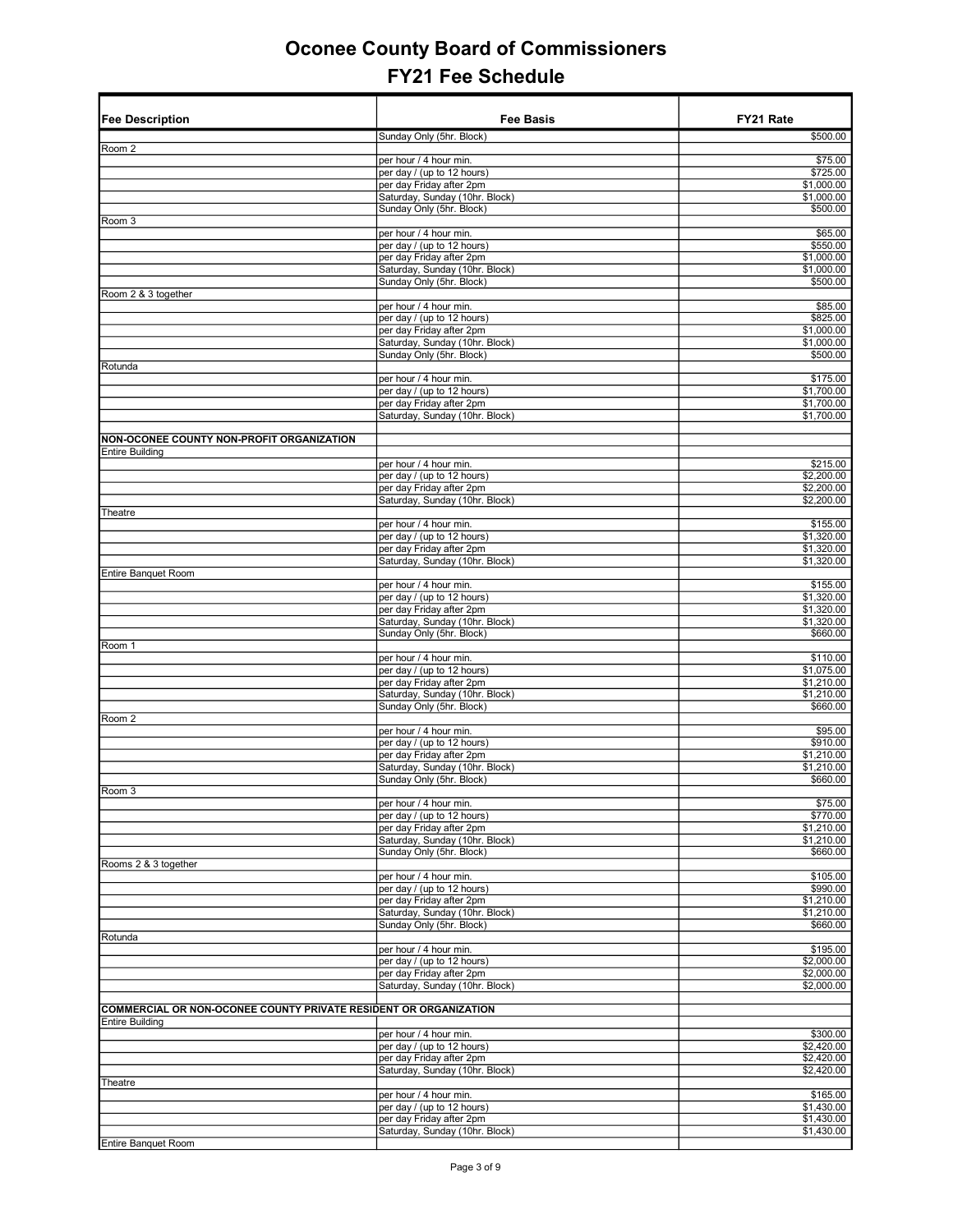| <b>Fee Description</b>                                           | <b>Fee Basis</b>                                           | FY21 Rate                |
|------------------------------------------------------------------|------------------------------------------------------------|--------------------------|
|                                                                  | Sunday Only (5hr. Block)                                   | \$500.00                 |
| Room 2                                                           |                                                            |                          |
|                                                                  | per hour / 4 hour min.<br>per day / (up to 12 hours)       | \$75.00<br>\$725.00      |
|                                                                  | per day Friday after 2pm                                   | \$1,000.00               |
|                                                                  | Saturday, Sunday (10hr. Block)                             | \$1,000.00               |
|                                                                  | Sunday Only (5hr. Block)                                   | \$500.00                 |
| Room 3                                                           |                                                            |                          |
|                                                                  | per hour / 4 hour min.<br>per day / (up to 12 hours)       | \$65.00<br>\$550.00      |
|                                                                  | per day Friday after 2pm                                   | \$1,000.00               |
|                                                                  | Saturday, Sunday (10hr. Block)                             | \$1,000.00               |
|                                                                  | Sunday Only (5hr. Block)                                   | \$500.00                 |
| Room 2 & 3 together                                              | per hour / 4 hour min.                                     | \$85.00                  |
|                                                                  | per day / (up to 12 hours)                                 | \$825.00                 |
|                                                                  | per day Friday after 2pm                                   | \$1,000.00               |
|                                                                  | Saturday, Sunday (10hr. Block)                             | \$1,000.00               |
|                                                                  | Sunday Only (5hr. Block)                                   | \$500.00                 |
| Rotunda                                                          | per hour / 4 hour min.                                     | \$175.00                 |
|                                                                  | per day / (up to 12 hours)                                 | \$1,700.00               |
|                                                                  | per day Friday after 2pm                                   | \$1,700.00               |
|                                                                  | Saturday, Sunday (10hr. Block)                             | \$1,700.00               |
| NON-OCONEE COUNTY NON-PROFIT ORGANIZATION                        |                                                            |                          |
| <b>Entire Building</b>                                           |                                                            |                          |
|                                                                  | per hour / 4 hour min.                                     | \$215.00                 |
|                                                                  | per day / (up to 12 hours)                                 | \$2,200.00               |
|                                                                  | per day Friday after 2pm                                   | \$2,200.00               |
| Theatre                                                          | Saturday, Sunday (10hr. Block)                             | \$2,200.00               |
|                                                                  | per hour / 4 hour min.                                     | \$155.00                 |
|                                                                  | per day / (up to 12 hours)                                 | \$1,320.00               |
|                                                                  | per day Friday after 2pm                                   | \$1,320.00               |
| Entire Banquet Room                                              | Saturday, Sunday (10hr. Block)                             | \$1,320.00               |
|                                                                  | per hour / 4 hour min.                                     | \$155.00                 |
|                                                                  | per day / (up to 12 hours)                                 | \$1,320.00               |
|                                                                  | per day Friday after 2pm                                   | \$1,320.00               |
|                                                                  | Saturday, Sunday (10hr. Block)                             | \$1,320.00               |
| Room 1                                                           | Sunday Only (5hr. Block)                                   | \$660.00                 |
|                                                                  | per hour / 4 hour min.                                     | \$110.00                 |
|                                                                  | per day / (up to 12 hours)                                 | \$1,075.00               |
|                                                                  | per day Friday after 2pm                                   | \$1,210.00               |
|                                                                  | Saturday, Sunday (10hr. Block)<br>Sunday Only (5hr. Block) | \$1,210.00<br>\$660.00   |
| Room 2                                                           |                                                            |                          |
|                                                                  | per hour / 4 hour min.                                     | \$95.00                  |
|                                                                  | per day / (up to 12 hours)                                 | \$910.00                 |
|                                                                  | per day Friday after 2pm                                   | \$1,210.00               |
|                                                                  | Saturday, Sunday (10hr. Block)<br>Sunday Only (5hr. Block) | \$1,210.00<br>\$660.00   |
| Room 3                                                           |                                                            |                          |
|                                                                  | per hour / 4 hour min.                                     | \$75.00                  |
|                                                                  | per day / (up to 12 hours)                                 | \$770.00                 |
|                                                                  | per day Friday after 2pm<br>Saturday, Sunday (10hr. Block) | \$1,210.00<br>\$1,210.00 |
|                                                                  | Sunday Only (5hr. Block)                                   | \$660.00                 |
| Rooms 2 & 3 together                                             |                                                            |                          |
|                                                                  | per hour / 4 hour min.                                     | \$105.00                 |
|                                                                  | per day / (up to 12 hours)                                 | \$990.00                 |
|                                                                  | per day Friday after 2pm<br>Saturday, Sunday (10hr. Block) | \$1,210.00<br>\$1,210.00 |
|                                                                  | Sunday Only (5hr. Block)                                   | \$660.00                 |
| Rotunda                                                          |                                                            |                          |
|                                                                  | per hour / 4 hour min.                                     | \$195.00                 |
|                                                                  | per day / (up to 12 hours)<br>per day Friday after 2pm     | \$2,000.00<br>\$2,000.00 |
|                                                                  | Saturday, Sunday (10hr. Block)                             | \$2,000.00               |
|                                                                  |                                                            |                          |
| COMMERCIAL OR NON-OCONEE COUNTY PRIVATE RESIDENT OR ORGANIZATION |                                                            |                          |
| <b>Entire Building</b>                                           |                                                            |                          |
|                                                                  | per hour / 4 hour min.<br>per day / (up to 12 hours)       | \$300.00<br>\$2,420.00   |
|                                                                  | per day Friday after 2pm                                   | \$2,420.00               |
|                                                                  | Saturday, Sunday (10hr. Block)                             | \$2,420.00               |
| Theatre                                                          |                                                            |                          |
|                                                                  | per hour / 4 hour min.                                     | \$165.00                 |
|                                                                  | per day / (up to 12 hours)<br>per day Friday after 2pm     | \$1,430.00<br>\$1,430.00 |
|                                                                  | Saturday, Sunday (10hr. Block)                             | \$1,430.00               |
| Entire Banquet Room                                              |                                                            |                          |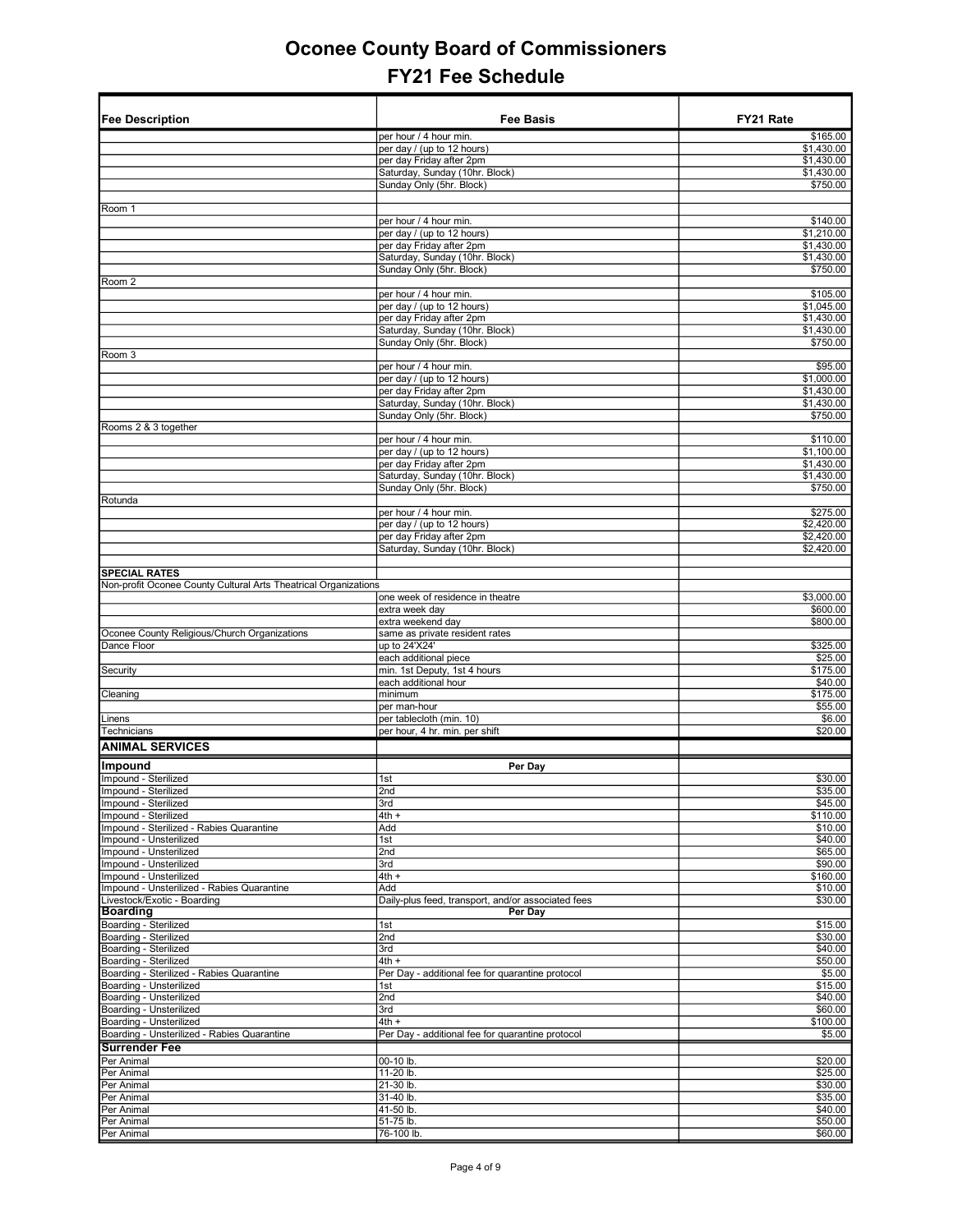| <b>Fee Description</b>                                                 | <b>Fee Basis</b>                                            | FY21 Rate                |
|------------------------------------------------------------------------|-------------------------------------------------------------|--------------------------|
|                                                                        |                                                             |                          |
|                                                                        | per hour / 4 hour min.<br>per day / (up to 12 hours)        | \$165.00<br>\$1,430.00   |
|                                                                        | per day Friday after 2pm                                    | \$1,430.00               |
|                                                                        | Saturday, Sunday (10hr. Block)                              | \$1,430.00               |
|                                                                        | Sunday Only (5hr. Block)                                    | \$750.00                 |
|                                                                        |                                                             |                          |
| Room 1                                                                 |                                                             |                          |
|                                                                        | per hour / 4 hour min.<br>per day / (up to 12 hours)        | \$140.00<br>\$1,210.00   |
|                                                                        | per day Friday after 2pm                                    | \$1,430.00               |
|                                                                        | Saturday, Sunday (10hr. Block)                              | \$1,430.00               |
|                                                                        | Sunday Only (5hr. Block)                                    | \$750.00                 |
| Room 2                                                                 |                                                             |                          |
|                                                                        | per hour / 4 hour min.                                      | \$105.00                 |
|                                                                        | per day / (up to 12 hours)                                  | \$1,045.00               |
|                                                                        | per day Friday after 2pm<br>Saturday, Sunday (10hr. Block)  | \$1,430.00<br>\$1,430.00 |
|                                                                        | Sunday Only (5hr. Block)                                    | \$750.00                 |
| Room 3                                                                 |                                                             |                          |
|                                                                        | per hour / 4 hour min.                                      | \$95.00                  |
|                                                                        | per day / (up to 12 hours)                                  | \$1,000.00               |
|                                                                        | per day Friday after 2pm                                    | \$1,430.00               |
|                                                                        | Saturday, Sunday (10hr. Block)<br>Sunday Only (5hr. Block)  | \$1,430.00<br>\$750.00   |
| Rooms 2 & 3 together                                                   |                                                             |                          |
|                                                                        | per hour / 4 hour min.                                      | \$110.00                 |
|                                                                        | per day / (up to 12 hours)                                  | \$1,100.00               |
|                                                                        | per day Friday after 2pm                                    | \$1,430.00               |
|                                                                        | Saturday, Sunday (10hr. Block)                              | \$1,430.00               |
|                                                                        | Sunday Only (5hr. Block)                                    | \$750.00                 |
| Rotunda                                                                | per hour / 4 hour min.                                      | \$275.00                 |
|                                                                        | per day / (up to 12 hours)                                  | \$2,420.00               |
|                                                                        | per day Friday after 2pm                                    | \$2,420.00               |
|                                                                        | Saturday, Sunday (10hr. Block)                              | \$2,420.00               |
|                                                                        |                                                             |                          |
| <b>SPECIAL RATES</b>                                                   |                                                             |                          |
| Non-profit Oconee County Cultural Arts Theatrical Organizations        | one week of residence in theatre                            | \$3,000.00               |
|                                                                        | extra week day                                              | \$600.00                 |
|                                                                        | extra weekend day                                           | \$800.00                 |
| Oconee County Religious/Church Organizations                           | same as private resident rates                              |                          |
| Dance Floor                                                            | up to 24'X24'                                               | \$325.00                 |
|                                                                        | each additional piece                                       | \$25.00                  |
| Security                                                               | min. 1st Deputy, 1st 4 hours<br>each additional hour        | \$175.00<br>\$40.00      |
| Cleaning                                                               | minimum                                                     | \$175.00                 |
|                                                                        | per man-hour                                                | \$55.00                  |
| Linens                                                                 | per tablecloth (min. 10)                                    | \$6.00                   |
| Technicians                                                            | per hour, 4 hr. min. per shift                              | \$20.00                  |
| <b>ANIMAL SERVICES</b>                                                 |                                                             |                          |
| Impound                                                                | Per Day                                                     |                          |
| Impound - Sterilized                                                   | 1st                                                         | \$30.00                  |
| Impound - Sterilized                                                   | 2nd                                                         | \$35.00                  |
| Impound - Sterilized                                                   | 3rd                                                         | \$45.00                  |
| Impound - Sterilized                                                   | $4th +$                                                     | \$110.00                 |
| Impound - Sterilized - Rabies Quarantine                               | Add                                                         | \$10.00<br>\$40.00       |
| Impound - Unsterilized<br>Impound - Unsterilized                       | 1st<br>2nd                                                  | \$65.00                  |
| Impound - Unsterilized                                                 | 3rd                                                         | \$90.00                  |
| Impound - Unsterilized                                                 | $4th +$                                                     | \$160.00                 |
| Impound - Unsterilized - Rabies Quarantine                             | Add                                                         | \$10.00                  |
| Livestock/Exotic - Boarding                                            | Daily-plus feed, transport, and/or associated fees          | \$30.00                  |
| <b>Boarding</b>                                                        | Per Day                                                     |                          |
| Boarding - Sterilized<br>Boarding - Sterilized                         | 1st<br>2nd                                                  | \$15.00<br>\$30.00       |
| Boarding - Sterilized                                                  | 3rd                                                         | \$40.00                  |
| Boarding - Sterilized                                                  | $4th +$                                                     | \$50.00                  |
| Boarding - Sterilized - Rabies Quarantine                              | Per Day - additional fee for quarantine protocol            | \$5.00                   |
| Boarding - Unsterilized                                                | 1st                                                         | \$15.00                  |
| Boarding - Unsterilized                                                | 2nd                                                         | \$40.00                  |
| Boarding - Unsterilized                                                | 3rd                                                         | \$60.00                  |
| Boarding - Unsterilized<br>Boarding - Unsterilized - Rabies Quarantine | $4th +$<br>Per Day - additional fee for quarantine protocol | \$100.00<br>\$5.00       |
| <b>Surrender Fee</b>                                                   |                                                             |                          |
| Per Animal                                                             | 00-10 lb.                                                   | \$20.00                  |
| Per Animal                                                             | 11-20 lb.                                                   | \$25.00                  |
| Per Animal                                                             | 21-30 lb.                                                   | \$30.00                  |
| Per Animal                                                             | 31-40 lb.                                                   | \$35.00                  |
| Per Animal                                                             | 41-50 lb.                                                   | \$40.00                  |
| Per Animal                                                             | 51-75 lb.                                                   | \$50.00                  |
| Per Animal                                                             | 76-100 lb.                                                  | \$60.00                  |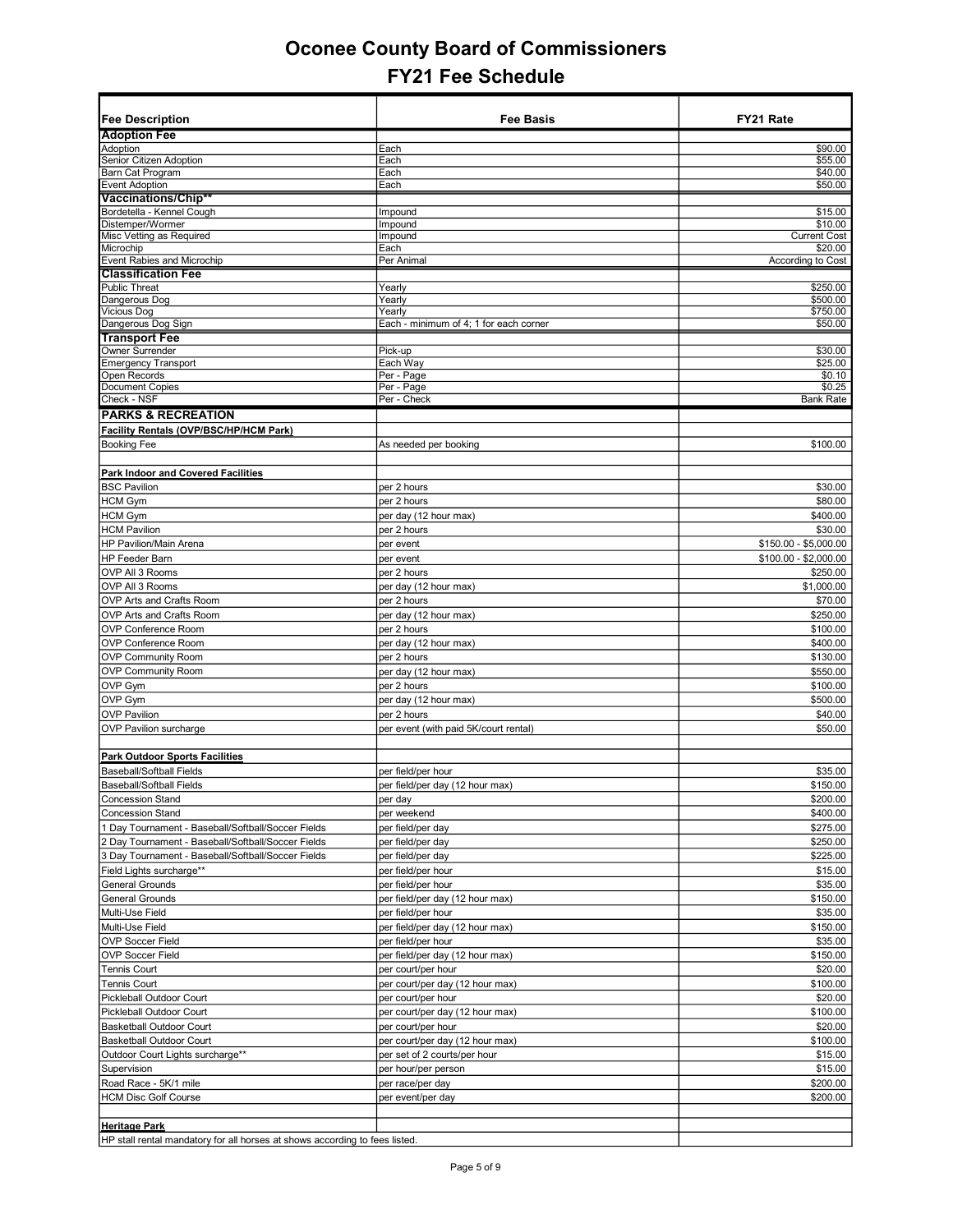| <b>Fee Description</b>                                                        | <b>Fee Basis</b>                                 | FY21 Rate             |
|-------------------------------------------------------------------------------|--------------------------------------------------|-----------------------|
| <b>Adoption Fee</b>                                                           |                                                  |                       |
| Adoption                                                                      | Each                                             | \$90.00               |
| Senior Citizen Adoption                                                       | Each                                             | \$55.00               |
| Barn Cat Program                                                              | Each                                             | \$40.00               |
| <b>Event Adoption</b><br>Vaccinations/Chip**                                  | Each                                             | \$50.00               |
| Bordetella - Kennel Cough                                                     | Impound                                          | \$15.00               |
| Distemper/Wormer                                                              | Impound                                          | \$10.00               |
| Misc Vetting as Required                                                      | Impound                                          | <b>Current Cost</b>   |
| Microchip                                                                     | Each                                             | \$20.00               |
| Event Rabies and Microchip                                                    | Per Animal                                       | According to Cost     |
| <b>Classification Fee</b>                                                     |                                                  |                       |
| <b>Public Threat</b>                                                          | Yearly                                           | \$250.00              |
| Dangerous Dog                                                                 | Yearly                                           | \$500.00              |
| <b>Vicious Dog</b><br>Dangerous Dog Sign                                      | Yearly<br>Each - minimum of 4; 1 for each corner | \$750.00<br>\$50.00   |
| <b>Transport Fee</b>                                                          |                                                  |                       |
| <b>Owner Surrender</b>                                                        | Pick-up                                          | \$30.00               |
| <b>Emergency Transport</b>                                                    | Each Way                                         | \$25.00               |
| Open Records                                                                  | Per - Page                                       | \$0.10                |
| <b>Document Copies</b>                                                        | Per - Page                                       | \$0.25                |
| Check - NSF                                                                   | Per - Check                                      | <b>Bank Rate</b>      |
| <b>PARKS &amp; RECREATION</b>                                                 |                                                  |                       |
| Facility Rentals (OVP/BSC/HP/HCM Park)                                        |                                                  |                       |
| <b>Booking Fee</b>                                                            | As needed per booking                            | \$100.00              |
| Park Indoor and Covered Facilities                                            |                                                  |                       |
| <b>BSC Pavilion</b>                                                           | per 2 hours                                      | \$30.00               |
| <b>HCM Gym</b>                                                                | per 2 hours                                      | \$80.00               |
| <b>HCM Gym</b>                                                                | per day (12 hour max)                            | \$400.00              |
| <b>HCM Pavilion</b>                                                           | per 2 hours                                      | \$30.00               |
| <b>HP Pavilion/Main Arena</b>                                                 | per event                                        | $$150.00 - $5,000.00$ |
| <b>HP Feeder Barn</b>                                                         | per event                                        | \$100.00 - \$2,000.00 |
| OVP All 3 Rooms                                                               | per 2 hours                                      | \$250.00              |
| OVP All 3 Rooms                                                               | per day (12 hour max)                            | \$1,000.00            |
| OVP Arts and Crafts Room                                                      | per 2 hours                                      | \$70.00               |
| OVP Arts and Crafts Room                                                      | per day (12 hour max)                            | \$250.00              |
| <b>OVP Conference Room</b>                                                    | per 2 hours                                      | \$100.00              |
| OVP Conference Room                                                           | per day (12 hour max)                            | \$400.00              |
| <b>OVP Community Room</b>                                                     | per 2 hours                                      | \$130.00              |
| <b>OVP Community Room</b>                                                     | per day (12 hour max)                            | \$550.00              |
| OVP Gym                                                                       | per 2 hours                                      | \$100.00              |
| OVP Gym                                                                       | per day (12 hour max)                            | \$500.00              |
| <b>OVP Pavilion</b>                                                           | per 2 hours                                      | \$40.00               |
| OVP Pavilion surcharge                                                        | per event (with paid 5K/court rental)            | \$50.00               |
| <b>Park Outdoor Sports Facilities</b>                                         |                                                  |                       |
| <b>Baseball/Softball Fields</b>                                               |                                                  | \$35.00               |
| <b>Baseball/Softball Fields</b>                                               | per field/per hour                               | \$150.00              |
| <b>Concession Stand</b>                                                       | per field/per day (12 hour max)                  | \$200.00              |
|                                                                               | ∣per ɑay                                         |                       |
| <b>Concession Stand</b><br>1 Day Tournament - Baseball/Softball/Soccer Fields | per weekend<br>per field/per day                 | \$400.00<br>\$275.00  |
| 2 Day Tournament - Baseball/Softball/Soccer Fields                            | per field/per day                                | \$250.00              |
| 3 Day Tournament - Baseball/Softball/Soccer Fields                            | per field/per day                                | \$225.00              |
| Field Lights surcharge**                                                      | per field/per hour                               | \$15.00               |
| General Grounds                                                               | per field/per hour                               | \$35.00               |
| General Grounds                                                               | per field/per day (12 hour max)                  | \$150.00              |
| Multi-Use Field                                                               | per field/per hour                               | \$35.00               |
| Multi-Use Field                                                               | per field/per day (12 hour max)                  | \$150.00              |
| OVP Soccer Field                                                              | per field/per hour                               | \$35.00               |
| <b>OVP Soccer Field</b>                                                       | per field/per day (12 hour max)                  | \$150.00              |
| <b>Tennis Court</b>                                                           | per court/per hour                               | \$20.00               |
| <b>Tennis Court</b>                                                           | per court/per day (12 hour max)                  | \$100.00              |
| Pickleball Outdoor Court                                                      | per court/per hour                               | \$20.00               |
| Pickleball Outdoor Court                                                      | per court/per day (12 hour max)                  | \$100.00              |
| <b>Basketball Outdoor Court</b>                                               | per court/per hour                               | \$20.00               |
| <b>Basketball Outdoor Court</b>                                               | per court/per day (12 hour max)                  | \$100.00              |
| Outdoor Court Lights surcharge**                                              | per set of 2 courts/per hour                     | \$15.00               |
| Supervision                                                                   | per hour/per person                              | \$15.00               |
| Road Race - 5K/1 mile                                                         | per race/per day                                 | \$200.00              |
| <b>HCM Disc Golf Course</b>                                                   | per event/per day                                | \$200.00              |
|                                                                               |                                                  |                       |
| <b>Heritage Park</b>                                                          |                                                  |                       |
| HP stall rental mandatory for all horses at shows according to fees listed.   |                                                  |                       |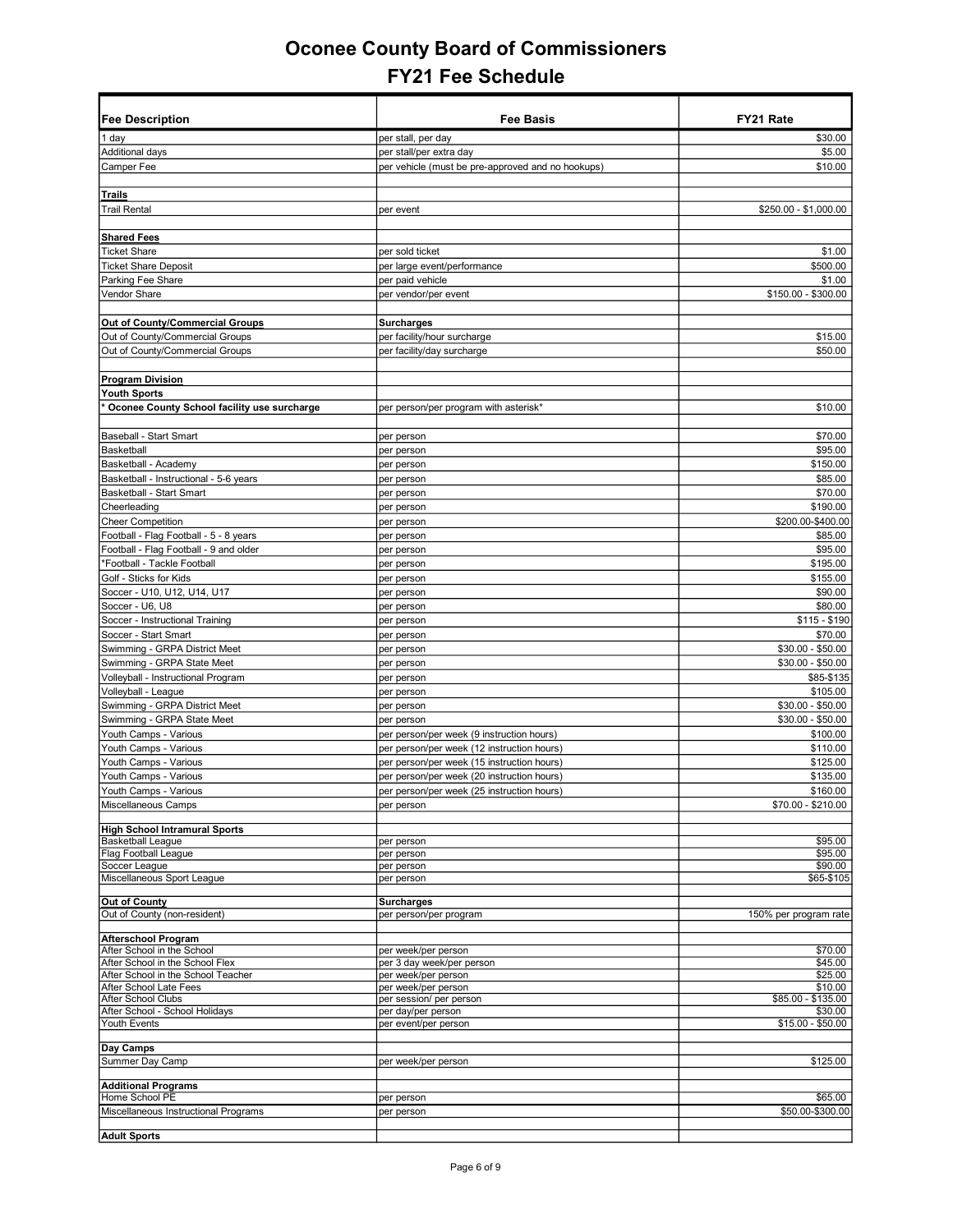| <b>Fee Description</b>                                             | <b>Fee Basis</b>                                  | FY21 Rate                     |
|--------------------------------------------------------------------|---------------------------------------------------|-------------------------------|
| 1 day                                                              | per stall, per day                                | \$30.00                       |
| Additional days                                                    | per stall/per extra day                           | \$5.00                        |
| Camper Fee                                                         | per vehicle (must be pre-approved and no hookups) | \$10.00                       |
|                                                                    |                                                   |                               |
| <b>Trails</b>                                                      |                                                   |                               |
| <b>Trail Rental</b>                                                | per event                                         | \$250.00 - \$1,000.00         |
|                                                                    |                                                   |                               |
| <b>Shared Fees</b>                                                 |                                                   |                               |
| <b>Ticket Share</b>                                                | per sold ticket                                   | \$1.00                        |
| <b>Ticket Share Deposit</b>                                        | per large event/performance                       | \$500.00                      |
| Parking Fee Share                                                  | per paid vehicle                                  | \$1.00                        |
| <b>Vendor Share</b>                                                | per vendor/per event                              | \$150.00 - \$300.00           |
|                                                                    |                                                   |                               |
| Out of County/Commercial Groups<br>Out of County/Commercial Groups | <b>Surcharges</b><br>per facility/hour surcharge  | \$15.00                       |
| Out of County/Commercial Groups                                    | per facility/day surcharge                        | \$50.00                       |
|                                                                    |                                                   |                               |
| <b>Program Division</b>                                            |                                                   |                               |
| <b>Youth Sports</b>                                                |                                                   |                               |
| Oconee County School facility use surcharge                        | per person/per program with asterisk*             | \$10.00                       |
|                                                                    |                                                   |                               |
| Baseball - Start Smart                                             | per person                                        | \$70.00                       |
| Basketball                                                         | per person                                        | \$95.00                       |
| Basketball - Academy                                               | per person                                        | \$150.00                      |
| Basketball - Instructional - 5-6 years                             | per person                                        | \$85.00                       |
| Basketball - Start Smart                                           | per person                                        | \$70.00                       |
| Cheerleading                                                       | per person                                        | \$190.00<br>\$200.00-\$400.00 |
| <b>Cheer Competition</b><br>Football - Flag Football - 5 - 8 years | per person<br>per person                          | \$85.00                       |
| Football - Flag Football - 9 and older                             | per person                                        | \$95.00                       |
| *Football - Tackle Football                                        | per person                                        | \$195.00                      |
| Golf - Sticks for Kids                                             | per person                                        | \$155.00                      |
| Soccer - U10, U12, U14, U17                                        | per person                                        | \$90.00                       |
| Soccer - U6, U8                                                    | per person                                        | \$80.00                       |
| Soccer - Instructional Training                                    | per person                                        | $$115 - $190$                 |
| Soccer - Start Smart                                               | per person                                        | \$70.00                       |
| Swimming - GRPA District Meet                                      | per person                                        | \$30.00 - \$50.00             |
| Swimming - GRPA State Meet                                         | per person                                        | \$30.00 - \$50.00             |
| Volleyball - Instructional Program                                 | per person                                        | \$85-\$135                    |
| Volleyball - League<br>Swimming - GRPA District Meet               | per person                                        | \$105.00<br>$$30.00 - $50.00$ |
| Swimming - GRPA State Meet                                         | per person<br>per person                          | \$30.00 - \$50.00             |
| Youth Camps - Various                                              | per person/per week (9 instruction hours)         | \$100.00                      |
| Youth Camps - Various                                              | per person/per week (12 instruction hours)        | \$110.00                      |
| Youth Camps - Various                                              | per person/per week (15 instruction hours)        | \$125.00                      |
| Youth Camps - Various                                              | per person/per week (20 instruction hours)        | \$135.00                      |
| Youth Camps - Various                                              | per person/per week (25 instruction hours)        | \$160.00                      |
| Miscellaneous Camps                                                | per person                                        | \$70.00 - \$210.00            |
| <b>High School Intramural Sports</b>                               |                                                   |                               |
| <b>Basketball League</b>                                           | per person                                        | \$95.00                       |
| Flag Football League                                               | per person                                        | \$95.00                       |
| Soccer League                                                      | per person                                        | \$90.00                       |
| Miscellaneous Sport League                                         | per person                                        | \$65-\$105                    |
| Out of County                                                      | <b>Surcharges</b>                                 |                               |
| Out of County (non-resident)                                       | per person/per program                            | 150% per program rate         |
| <b>Afterschool Program</b>                                         |                                                   |                               |
| After School in the School                                         | per week/per person                               | \$70.00                       |
| After School in the School Flex                                    | per 3 day week/per person                         | \$45.00                       |
| After School in the School Teacher                                 | per week/per person                               | \$25.00                       |
| After School Late Fees<br>After School Clubs                       | per week/per person<br>per session/ per person    | \$10.00<br>\$85.00 - \$135.00 |
| After School - School Holidays                                     | per day/per person                                | \$30.00                       |
| Youth Events                                                       | per event/per person                              | \$15.00 - \$50.00             |
|                                                                    |                                                   |                               |
| Day Camps                                                          |                                                   |                               |
| Summer Day Camp                                                    | per week/per person                               | \$125.00                      |
| <b>Additional Programs</b>                                         |                                                   |                               |
| Home School PE                                                     | per person                                        | \$65.00                       |
| Miscellaneous Instructional Programs                               | per person                                        | \$50.00-\$300.00              |
| <b>Adult Sports</b>                                                |                                                   |                               |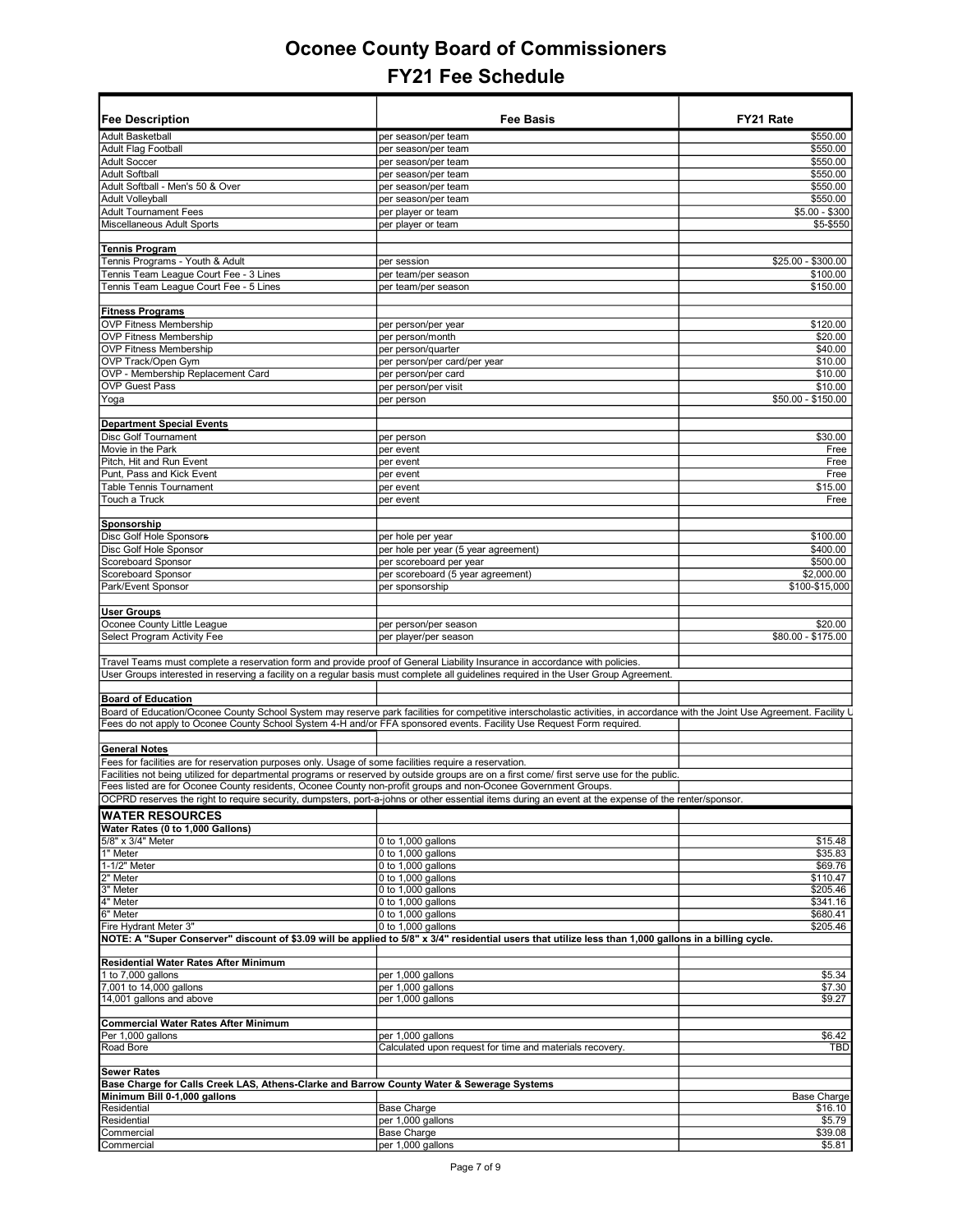| Fee Description                                                                                                             | <b>Fee Basis</b>                                                                                                                                                              | FY21 Rate          |
|-----------------------------------------------------------------------------------------------------------------------------|-------------------------------------------------------------------------------------------------------------------------------------------------------------------------------|--------------------|
| <b>Adult Basketball</b>                                                                                                     | per season/per team                                                                                                                                                           | \$550.00           |
| Adult Flag Football                                                                                                         | per season/per team                                                                                                                                                           | \$550.00           |
| <b>Adult Soccer</b>                                                                                                         | per season/per team                                                                                                                                                           | \$550.00           |
| <b>Adult Softball</b>                                                                                                       | per season/per team                                                                                                                                                           | \$550.00           |
| Adult Softball - Men's 50 & Over                                                                                            | per season/per team                                                                                                                                                           | \$550.00           |
| <b>Adult Volleyball</b>                                                                                                     | per season/per team                                                                                                                                                           | \$550.00           |
| <b>Adult Tournament Fees</b>                                                                                                |                                                                                                                                                                               | $$5.00 - $300$     |
|                                                                                                                             | per player or team                                                                                                                                                            |                    |
| Miscellaneous Adult Sports                                                                                                  | per player or team                                                                                                                                                            | \$5-\$550          |
|                                                                                                                             |                                                                                                                                                                               |                    |
| <b>Tennis Program</b>                                                                                                       |                                                                                                                                                                               |                    |
| Tennis Programs - Youth & Adult                                                                                             | per session                                                                                                                                                                   | \$25.00 - \$300.00 |
| Tennis Team League Court Fee - 3 Lines                                                                                      | per team/per season                                                                                                                                                           | \$100.00           |
| Tennis Team League Court Fee - 5 Lines                                                                                      | per team/per season                                                                                                                                                           | \$150.00           |
|                                                                                                                             |                                                                                                                                                                               |                    |
| <b>Fitness Programs</b>                                                                                                     |                                                                                                                                                                               |                    |
| <b>OVP Fitness Membership</b>                                                                                               | per person/per year                                                                                                                                                           | \$120.00           |
| <b>OVP Fitness Membership</b>                                                                                               | per person/month                                                                                                                                                              | \$20.00            |
| <b>OVP Fitness Membership</b>                                                                                               | per person/quarter                                                                                                                                                            | \$40.00            |
| OVP Track/Open Gym                                                                                                          | per person/per card/per year                                                                                                                                                  | \$10.00            |
| OVP - Membership Replacement Card                                                                                           |                                                                                                                                                                               | \$10.00            |
|                                                                                                                             | per person/per card                                                                                                                                                           |                    |
| <b>OVP Guest Pass</b>                                                                                                       | per person/per visit                                                                                                                                                          | \$10.00            |
| Yoga                                                                                                                        | per person                                                                                                                                                                    | \$50.00 - \$150.00 |
|                                                                                                                             |                                                                                                                                                                               |                    |
| <b>Department Special Events</b>                                                                                            |                                                                                                                                                                               |                    |
| Disc Golf Tournament                                                                                                        | per person                                                                                                                                                                    | \$30.00            |
| Movie in the Park                                                                                                           | per event                                                                                                                                                                     | Free               |
| Pitch, Hit and Run Event                                                                                                    | per event                                                                                                                                                                     | Free               |
| Punt, Pass and Kick Event                                                                                                   | per event                                                                                                                                                                     | Free               |
| <b>Table Tennis Tournament</b>                                                                                              | per event                                                                                                                                                                     | \$15.00            |
| Touch a Truck                                                                                                               | per event                                                                                                                                                                     | Free               |
|                                                                                                                             |                                                                                                                                                                               |                    |
|                                                                                                                             |                                                                                                                                                                               |                    |
| Sponsorship                                                                                                                 |                                                                                                                                                                               |                    |
| <b>Disc Golf Hole Sponsors</b>                                                                                              | per hole per year                                                                                                                                                             | \$100.00           |
| Disc Golf Hole Sponsor                                                                                                      | per hole per year (5 year agreement)                                                                                                                                          | \$400.00           |
| Scoreboard Sponsor                                                                                                          | per scoreboard per year                                                                                                                                                       | \$500.00           |
| Scoreboard Sponsor                                                                                                          | per scoreboard (5 year agreement)                                                                                                                                             | \$2,000.00         |
| Park/Event Sponsor                                                                                                          | per sponsorship                                                                                                                                                               | \$100-\$15,000     |
|                                                                                                                             |                                                                                                                                                                               |                    |
| <b>User Groups</b>                                                                                                          |                                                                                                                                                                               |                    |
| Oconee County Little League                                                                                                 | per person/per season                                                                                                                                                         | \$20.00            |
| Select Program Activity Fee                                                                                                 | per player/per season                                                                                                                                                         | \$80.00 - \$175.00 |
|                                                                                                                             |                                                                                                                                                                               |                    |
| Travel Teams must complete a reservation form and provide proof of General Liability Insurance in accordance with policies. |                                                                                                                                                                               |                    |
|                                                                                                                             |                                                                                                                                                                               |                    |
|                                                                                                                             | User Groups interested in reserving a facility on a regular basis must complete all guidelines required in the User Group Agreement.                                          |                    |
|                                                                                                                             |                                                                                                                                                                               |                    |
| <b>Board of Education</b>                                                                                                   |                                                                                                                                                                               |                    |
|                                                                                                                             | Board of Education/Oconee County School System may reserve park facilities for competitive interscholastic activities, in accordance with the Joint Use Agreement. Facility L |                    |
|                                                                                                                             | Fees do not apply to Oconee County School System 4-H and/or FFA sponsored events. Facility Use Request Form required.                                                         |                    |
|                                                                                                                             |                                                                                                                                                                               |                    |
| <b>General Notes</b>                                                                                                        |                                                                                                                                                                               |                    |
| Fees for facilities are for reservation purposes only. Usage of some facilities require a reservation.                      |                                                                                                                                                                               |                    |
|                                                                                                                             | Facilities not being utilized for departmental programs or reserved by outside groups are on a first come/ first serve use for the public.                                    |                    |
| Fees listed are for Oconee County residents, Oconee County non-profit groups and non-Oconee Government Groups.              |                                                                                                                                                                               |                    |
|                                                                                                                             | OCPRD reserves the right to require security, dumpsters, port-a-johns or other essential items during an event at the expense of the renter/sponsor.                          |                    |
|                                                                                                                             |                                                                                                                                                                               |                    |
| <b>WATER RESOURCES</b>                                                                                                      |                                                                                                                                                                               |                    |
| Water Rates (0 to 1,000 Gallons)                                                                                            |                                                                                                                                                                               |                    |
| 5/8" x 3/4" Meter<br>1" Meter                                                                                               | 0 to 1,000 gallons                                                                                                                                                            | \$15.48            |
|                                                                                                                             | 0 to $1,000$ gallons                                                                                                                                                          | \$35.83            |
| 1-1/2" Meter                                                                                                                | 0 to 1,000 gallons                                                                                                                                                            | \$69.76            |
|                                                                                                                             | 0 to 1,000 gallons                                                                                                                                                            | \$110.47           |
|                                                                                                                             | 0 to 1,000 gallons                                                                                                                                                            | \$205.46           |
| $\frac{2^n \text{ meter}}{3^n \text{ meter}}$<br>$\frac{3^n \text{ meter}}{6^n \text{ meter}}$                              | 0 to 1,000 gallons                                                                                                                                                            | \$341.16           |
|                                                                                                                             | 0 to $1,000$ gallons                                                                                                                                                          | \$680.41           |
| Fire Hydrant Meter 3"                                                                                                       | 0 to 1,000 gallons                                                                                                                                                            | \$205.46           |
|                                                                                                                             | NOTE: A "Super Conserver" discount of \$3.09 will be applied to 5/8" x 3/4" residential users that utilize less than 1,000 gallons in a billing cycle.                        |                    |
|                                                                                                                             |                                                                                                                                                                               |                    |
| Residential Water Rates After Minimum                                                                                       |                                                                                                                                                                               |                    |
| 1 to 7,000 gallons                                                                                                          | per 1,000 gallons                                                                                                                                                             | \$5.34             |
| 7,001 to 14,000 gallons                                                                                                     | per 1,000 gallons                                                                                                                                                             | \$7.30             |
| 14,001 gallons and above                                                                                                    |                                                                                                                                                                               |                    |
|                                                                                                                             | per 1,000 gallons                                                                                                                                                             | \$9.27             |
|                                                                                                                             |                                                                                                                                                                               |                    |
| Commercial Water Rates After Minimum                                                                                        |                                                                                                                                                                               |                    |
| Per 1,000 gallons                                                                                                           | per 1,000 gallons                                                                                                                                                             | \$6.42             |
| Road Bore                                                                                                                   | Calculated upon request for time and materials recovery.                                                                                                                      | <b>TBD</b>         |
|                                                                                                                             |                                                                                                                                                                               |                    |
| <b>Sewer Rates</b>                                                                                                          |                                                                                                                                                                               |                    |
| Base Charge for Calls Creek LAS, Athens-Clarke and Barrow County Water & Sewerage Systems                                   |                                                                                                                                                                               |                    |
| Minimum Bill 0-1,000 gallons                                                                                                |                                                                                                                                                                               | <b>Base Charge</b> |
| Residential                                                                                                                 | Base Charge                                                                                                                                                                   | \$16.10            |
| Residential                                                                                                                 | per 1,000 gallons                                                                                                                                                             | \$5.79             |
| Commercial                                                                                                                  | <b>Base Charge</b>                                                                                                                                                            | \$39.08            |
| Commercial                                                                                                                  | per 1,000 gallons                                                                                                                                                             | \$5.81             |
|                                                                                                                             |                                                                                                                                                                               |                    |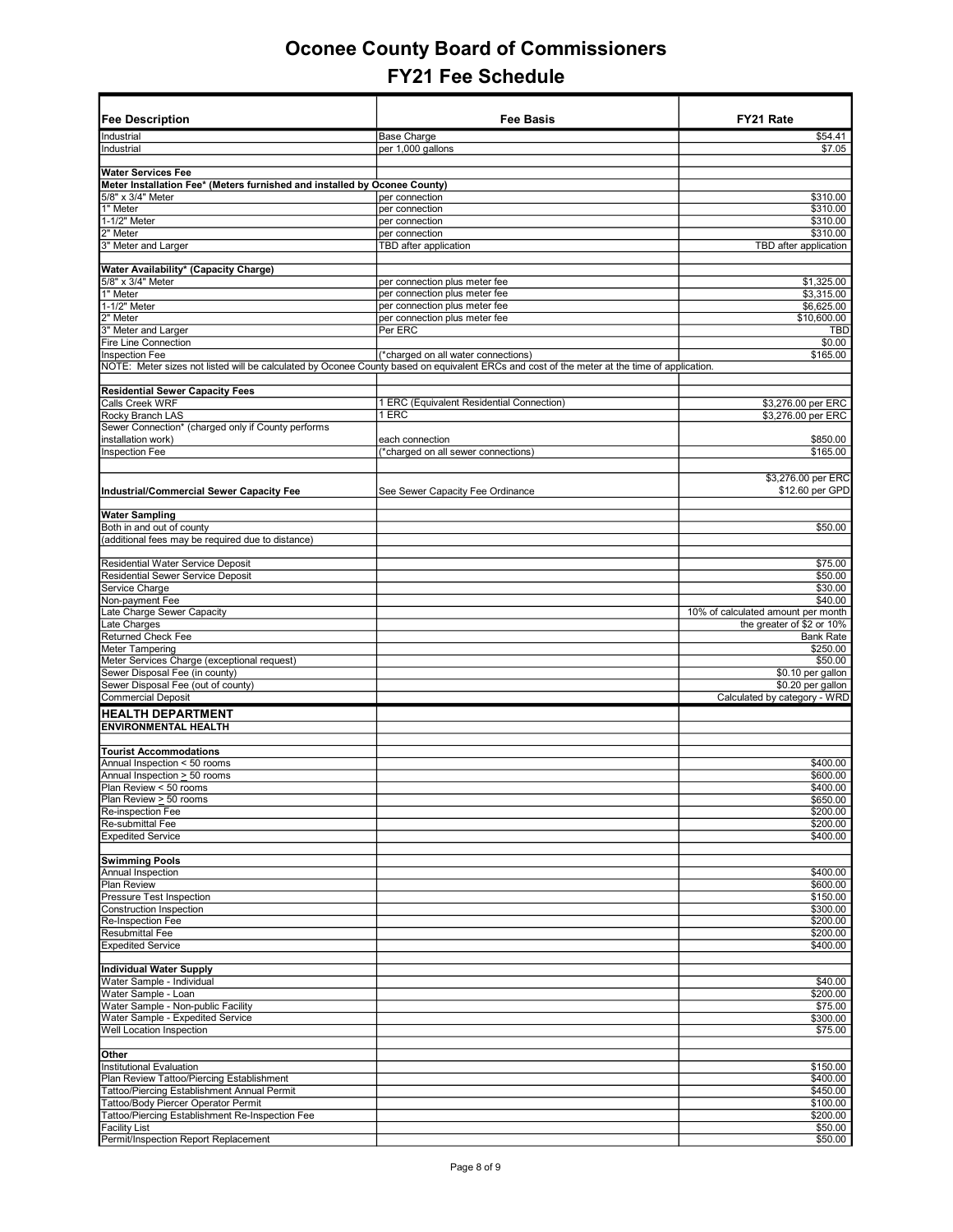|                                                                           | Fee Basis                                                                                                                                   | FY21 Rate                          |
|---------------------------------------------------------------------------|---------------------------------------------------------------------------------------------------------------------------------------------|------------------------------------|
| <b>Fee Description</b>                                                    |                                                                                                                                             |                                    |
| Industrial                                                                | Base Charge                                                                                                                                 | \$54.41                            |
| Industrial                                                                | per 1,000 gallons                                                                                                                           | \$7.05                             |
| <b>Water Services Fee</b>                                                 |                                                                                                                                             |                                    |
| Meter Installation Fee* (Meters furnished and installed by Oconee County) |                                                                                                                                             |                                    |
| 5/8" x 3/4" Meter                                                         | per connection                                                                                                                              | \$310.00                           |
| 1" Meter                                                                  | per connection                                                                                                                              | \$310.00                           |
| 1-1/2" Meter                                                              | per connection                                                                                                                              | \$310.00                           |
| 2" Meter                                                                  | per connection                                                                                                                              | \$310.00                           |
| 3" Meter and Larger                                                       | TBD after application                                                                                                                       | TBD after application              |
| Water Availability* (Capacity Charge)                                     |                                                                                                                                             |                                    |
| 5/8" x 3/4" Meter                                                         | per connection plus meter fee                                                                                                               | \$1,325.00                         |
| 1" Meter                                                                  | per connection plus meter fee                                                                                                               | \$3,315.00                         |
| 1-1/2" Meter                                                              | per connection plus meter fee                                                                                                               | \$6,625.00                         |
| 2" Meter                                                                  | per connection plus meter fee                                                                                                               | \$10,600.00                        |
| 3" Meter and Larger                                                       | Per ERC                                                                                                                                     | <b>TBD</b>                         |
| Fire Line Connection                                                      |                                                                                                                                             | \$0.00                             |
| Inspection Fee                                                            | (*charged on all water connections)                                                                                                         | \$165.00                           |
|                                                                           | NOTE: Meter sizes not listed will be calculated by Oconee County based on equivalent ERCs and cost of the meter at the time of application. |                                    |
| <b>Residential Sewer Capacity Fees</b>                                    |                                                                                                                                             |                                    |
| Calls Creek WRF                                                           | 1 ERC (Equivalent Residential Connection)                                                                                                   | \$3,276.00 per ERC                 |
| Rocky Branch LAS                                                          | 1 ERC                                                                                                                                       | \$3,276.00 per ERC                 |
| Sewer Connection* (charged only if County performs                        |                                                                                                                                             |                                    |
| installation work)                                                        | each connection                                                                                                                             | \$850.00                           |
| Inspection Fee                                                            | (*charged on all sewer connections)                                                                                                         | \$165.00                           |
|                                                                           |                                                                                                                                             |                                    |
|                                                                           |                                                                                                                                             | \$3,276.00 per ERC                 |
| Industrial/Commercial Sewer Capacity Fee                                  | See Sewer Capacity Fee Ordinance                                                                                                            | \$12.60 per GPD                    |
|                                                                           |                                                                                                                                             |                                    |
| <b>Water Sampling</b>                                                     |                                                                                                                                             |                                    |
| Both in and out of county                                                 |                                                                                                                                             | \$50.00                            |
| (additional fees may be required due to distance)                         |                                                                                                                                             |                                    |
| Residential Water Service Deposit                                         |                                                                                                                                             | \$75.00                            |
| Residential Sewer Service Deposit                                         |                                                                                                                                             | \$50.00                            |
| Service Charge                                                            |                                                                                                                                             | \$30.00                            |
| Non-payment Fee                                                           |                                                                                                                                             | \$40.00                            |
| Late Charge Sewer Capacity                                                |                                                                                                                                             | 10% of calculated amount per month |
| Late Charges                                                              |                                                                                                                                             | the greater of \$2 or 10%          |
| Returned Check Fee                                                        |                                                                                                                                             | <b>Bank Rate</b>                   |
| Meter Tampering                                                           |                                                                                                                                             | \$250.00                           |
| Meter Services Charge (exceptional request)                               |                                                                                                                                             | \$50.00                            |
| Sewer Disposal Fee (in county)                                            |                                                                                                                                             | \$0.10 per gallon                  |
| Sewer Disposal Fee (out of county)                                        |                                                                                                                                             | \$0.20 per gallon                  |
| <b>Commercial Deposit</b>                                                 |                                                                                                                                             | Calculated by category - WRD       |
| <b>HEALTH DEPARTMENT</b>                                                  |                                                                                                                                             |                                    |
| <b>ENVIRONMENTAL HEALTH</b>                                               |                                                                                                                                             |                                    |
|                                                                           |                                                                                                                                             |                                    |
| <b>Tourist Accommodations</b>                                             |                                                                                                                                             |                                    |
| Annual Inspection < 50 rooms                                              |                                                                                                                                             | \$400.00                           |
| Annual Inspection > 50 rooms                                              |                                                                                                                                             | \$600.00                           |
| Plan Review < 50 rooms                                                    |                                                                                                                                             | \$400.00                           |
| Plan Review <u>&gt;</u> 50 rooms                                          |                                                                                                                                             | \$650.00                           |
| Re-inspection Fee                                                         |                                                                                                                                             | \$200.00                           |
| Re-submittal Fee                                                          |                                                                                                                                             | \$200.00                           |
| <b>Expedited Service</b>                                                  |                                                                                                                                             | \$400.00                           |
| <b>Swimming Pools</b>                                                     |                                                                                                                                             |                                    |
| Annual Inspection                                                         |                                                                                                                                             | \$400.00                           |
| Plan Review                                                               |                                                                                                                                             | \$600.00                           |
| Pressure Test Inspection                                                  |                                                                                                                                             | \$150.00                           |
| Construction Inspection                                                   |                                                                                                                                             | \$300.00                           |
| Re-Inspection Fee                                                         |                                                                                                                                             | \$200.00                           |
| Resubmittal Fee                                                           |                                                                                                                                             | \$200.00                           |
| <b>Expedited Service</b>                                                  |                                                                                                                                             | \$400.00                           |
|                                                                           |                                                                                                                                             |                                    |
| <b>Individual Water Supply</b>                                            |                                                                                                                                             |                                    |
| Water Sample - Individual                                                 |                                                                                                                                             | \$40.00                            |
| Water Sample - Loan                                                       |                                                                                                                                             | \$200.00                           |
| Water Sample - Non-public Facility                                        |                                                                                                                                             | \$75.00                            |
| Water Sample - Expedited Service                                          |                                                                                                                                             | \$300.00                           |
| Well Location Inspection                                                  |                                                                                                                                             | \$75.00                            |
| Other                                                                     |                                                                                                                                             |                                    |
| Institutional Evaluation                                                  |                                                                                                                                             | \$150.00                           |
| Plan Review Tattoo/Piercing Establishment                                 |                                                                                                                                             | \$400.00                           |
| Tattoo/Piercing Establishment Annual Permit                               |                                                                                                                                             | \$450.00                           |
| Tattoo/Body Piercer Operator Permit                                       |                                                                                                                                             | \$100.00                           |
| Tattoo/Piercing Establishment Re-Inspection Fee                           |                                                                                                                                             | \$200.00                           |
| <b>Facility List</b>                                                      |                                                                                                                                             | \$50.00                            |
| Permit/Inspection Report Replacement                                      |                                                                                                                                             | \$50.00                            |